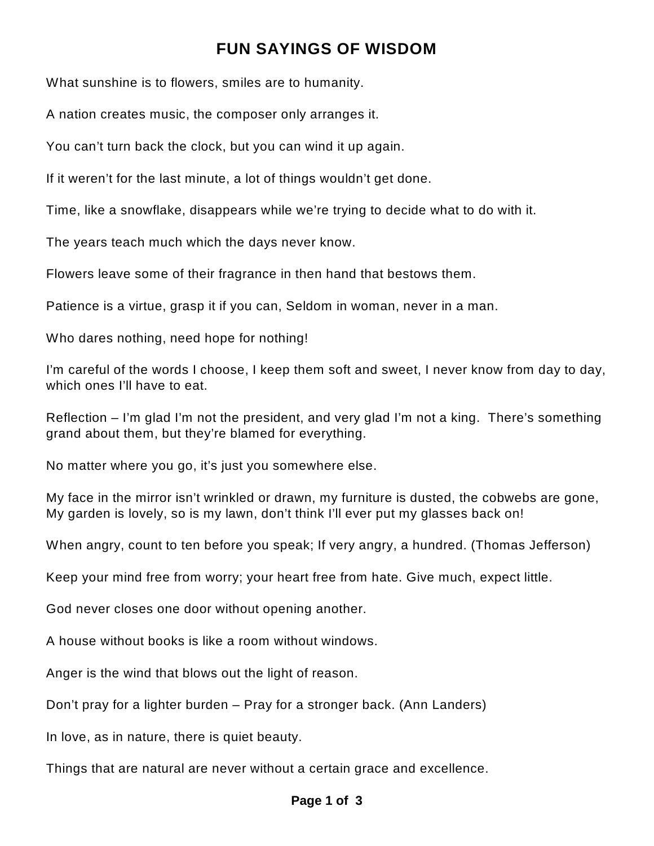## **FUN SAYINGS OF WISDOM**

What sunshine is to flowers, smiles are to humanity.

A nation creates music, the composer only arranges it.

You can't turn back the clock, but you can wind it up again.

If it weren't for the last minute, a lot of things wouldn't get done.

Time, like a snowflake, disappears while we're trying to decide what to do with it.

The years teach much which the days never know.

Flowers leave some of their fragrance in then hand that bestows them.

Patience is a virtue, grasp it if you can, Seldom in woman, never in a man.

Who dares nothing, need hope for nothing!

I'm careful of the words I choose, I keep them soft and sweet, I never know from day to day, which ones I'll have to eat.

Reflection – I'm glad I'm not the president, and very glad I'm not a king. There's something grand about them, but they're blamed for everything.

No matter where you go, it's just you somewhere else.

My face in the mirror isn't wrinkled or drawn, my furniture is dusted, the cobwebs are gone, My garden is lovely, so is my lawn, don't think I'll ever put my glasses back on!

When angry, count to ten before you speak; If very angry, a hundred. (Thomas Jefferson)

Keep your mind free from worry; your heart free from hate. Give much, expect little.

God never closes one door without opening another.

A house without books is like a room without windows.

Anger is the wind that blows out the light of reason.

Don't pray for a lighter burden – Pray for a stronger back. (Ann Landers)

In love, as in nature, there is quiet beauty.

Things that are natural are never without a certain grace and excellence.

## **Page 1 of 3**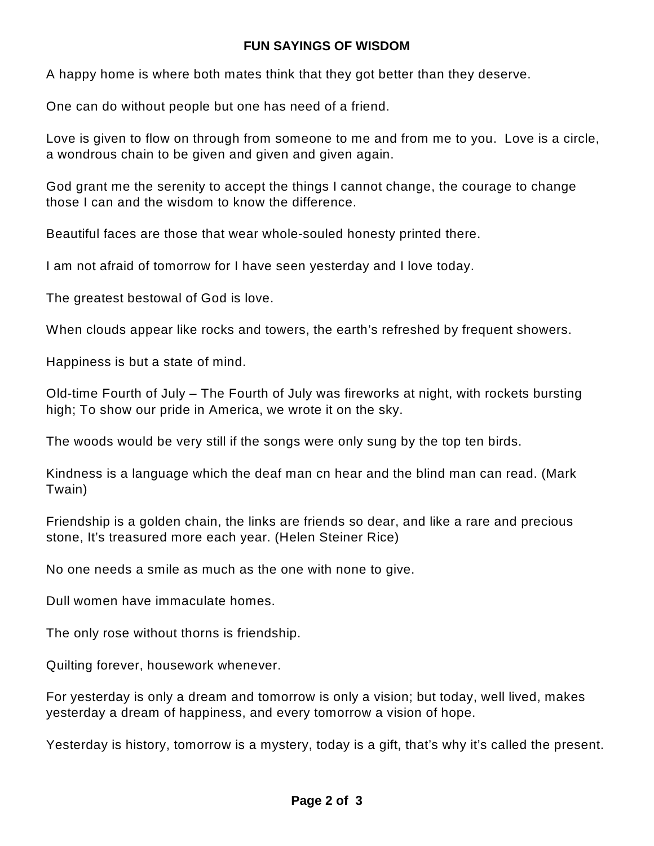## **FUN SAYINGS OF WISDOM**

A happy home is where both mates think that they got better than they deserve.

One can do without people but one has need of a friend.

Love is given to flow on through from someone to me and from me to you. Love is a circle, a wondrous chain to be given and given and given again.

God grant me the serenity to accept the things I cannot change, the courage to change those I can and the wisdom to know the difference.

Beautiful faces are those that wear whole-souled honesty printed there.

I am not afraid of tomorrow for I have seen yesterday and I love today.

The greatest bestowal of God is love.

When clouds appear like rocks and towers, the earth's refreshed by frequent showers.

Happiness is but a state of mind.

Old-time Fourth of July – The Fourth of July was fireworks at night, with rockets bursting high; To show our pride in America, we wrote it on the sky.

The woods would be very still if the songs were only sung by the top ten birds.

Kindness is a language which the deaf man cn hear and the blind man can read. (Mark Twain)

Friendship is a golden chain, the links are friends so dear, and like a rare and precious stone, It's treasured more each year. (Helen Steiner Rice)

No one needs a smile as much as the one with none to give.

Dull women have immaculate homes.

The only rose without thorns is friendship.

Quilting forever, housework whenever.

For yesterday is only a dream and tomorrow is only a vision; but today, well lived, makes yesterday a dream of happiness, and every tomorrow a vision of hope.

Yesterday is history, tomorrow is a mystery, today is a gift, that's why it's called the present.